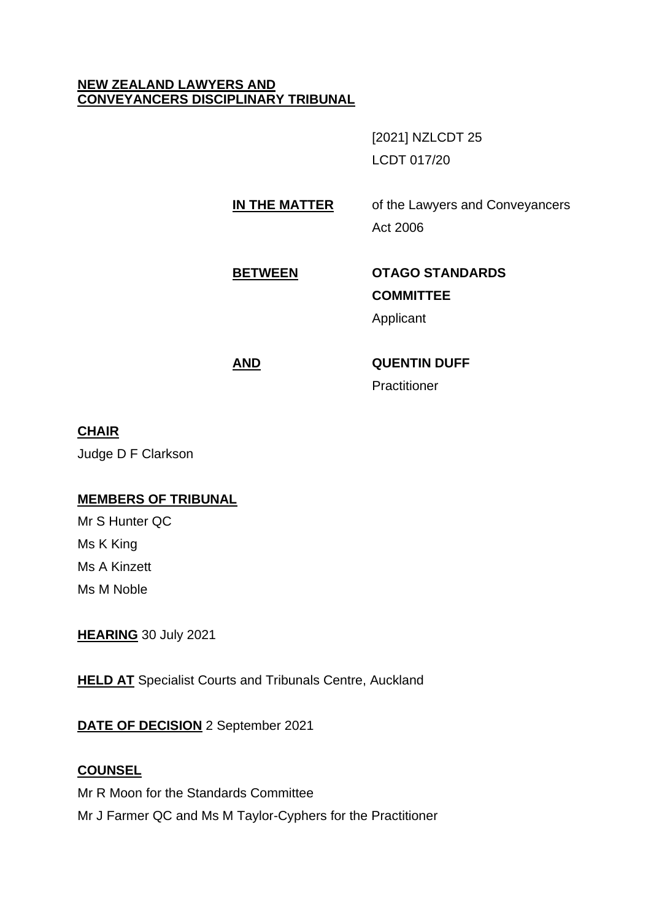#### **NEW ZEALAND LAWYERS AND CONVEYANCERS DISCIPLINARY TRIBUNAL**

[2021] NZLCDT 25 LCDT 017/20

**IN THE MATTER** of the Lawyers and Conveyancers Act 2006

# **BETWEEN OTAGO STANDARDS**

# **COMMITTEE**

Applicant

# **AND QUENTIN DUFF**

**Practitioner** 

# **CHAIR**

Judge D F Clarkson

# **MEMBERS OF TRIBUNAL**

Mr S Hunter QC Ms K King Ms A Kinzett Ms M Noble

**HEARING** 30 July 2021

**HELD AT** Specialist Courts and Tribunals Centre, Auckland

# **DATE OF DECISION** 2 September 2021

# **COUNSEL**

Mr R Moon for the Standards Committee Mr J Farmer QC and Ms M Taylor-Cyphers for the Practitioner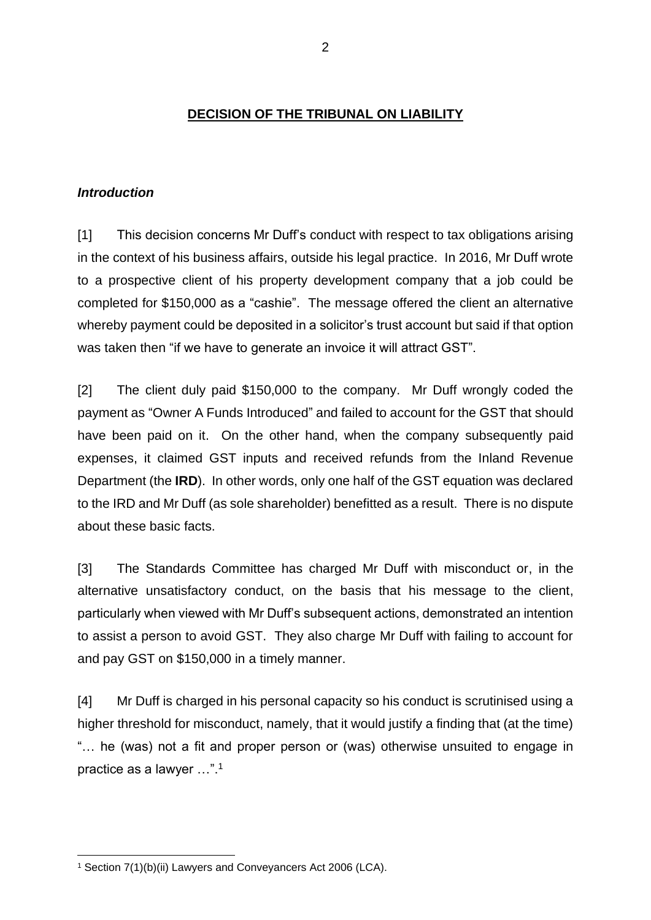#### **DECISION OF THE TRIBUNAL ON LIABILITY**

#### *Introduction*

[1] This decision concerns Mr Duff's conduct with respect to tax obligations arising in the context of his business affairs, outside his legal practice. In 2016, Mr Duff wrote to a prospective client of his property development company that a job could be completed for \$150,000 as a "cashie". The message offered the client an alternative whereby payment could be deposited in a solicitor's trust account but said if that option was taken then "if we have to generate an invoice it will attract GST".

[2] The client duly paid \$150,000 to the company. Mr Duff wrongly coded the payment as "Owner A Funds Introduced" and failed to account for the GST that should have been paid on it. On the other hand, when the company subsequently paid expenses, it claimed GST inputs and received refunds from the Inland Revenue Department (the **IRD**). In other words, only one half of the GST equation was declared to the IRD and Mr Duff (as sole shareholder) benefitted as a result. There is no dispute about these basic facts.

[3] The Standards Committee has charged Mr Duff with misconduct or, in the alternative unsatisfactory conduct, on the basis that his message to the client, particularly when viewed with Mr Duff's subsequent actions, demonstrated an intention to assist a person to avoid GST. They also charge Mr Duff with failing to account for and pay GST on \$150,000 in a timely manner.

[4] Mr Duff is charged in his personal capacity so his conduct is scrutinised using a higher threshold for misconduct, namely, that it would justify a finding that (at the time) "… he (was) not a fit and proper person or (was) otherwise unsuited to engage in practice as a lawyer …".<sup>1</sup>

<sup>1</sup> Section 7(1)(b)(ii) Lawyers and Conveyancers Act 2006 (LCA).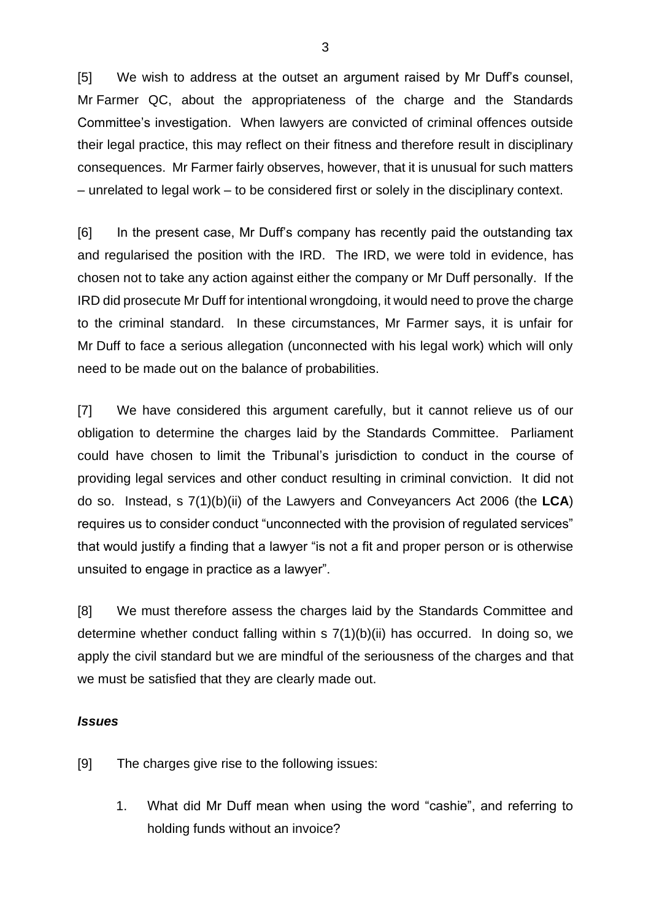[5] We wish to address at the outset an argument raised by Mr Duff's counsel, Mr Farmer QC, about the appropriateness of the charge and the Standards Committee's investigation. When lawyers are convicted of criminal offences outside their legal practice, this may reflect on their fitness and therefore result in disciplinary consequences. Mr Farmer fairly observes, however, that it is unusual for such matters – unrelated to legal work – to be considered first or solely in the disciplinary context.

[6] In the present case, Mr Duff's company has recently paid the outstanding tax and regularised the position with the IRD. The IRD, we were told in evidence, has chosen not to take any action against either the company or Mr Duff personally. If the IRD did prosecute Mr Duff for intentional wrongdoing, it would need to prove the charge to the criminal standard. In these circumstances, Mr Farmer says, it is unfair for Mr Duff to face a serious allegation (unconnected with his legal work) which will only need to be made out on the balance of probabilities.

[7] We have considered this argument carefully, but it cannot relieve us of our obligation to determine the charges laid by the Standards Committee. Parliament could have chosen to limit the Tribunal's jurisdiction to conduct in the course of providing legal services and other conduct resulting in criminal conviction. It did not do so. Instead, s 7(1)(b)(ii) of the Lawyers and Conveyancers Act 2006 (the **LCA**) requires us to consider conduct "unconnected with the provision of regulated services" that would justify a finding that a lawyer "is not a fit and proper person or is otherwise unsuited to engage in practice as a lawyer".

[8] We must therefore assess the charges laid by the Standards Committee and determine whether conduct falling within s 7(1)(b)(ii) has occurred. In doing so, we apply the civil standard but we are mindful of the seriousness of the charges and that we must be satisfied that they are clearly made out.

#### *Issues*

[9] The charges give rise to the following issues:

1. What did Mr Duff mean when using the word "cashie", and referring to holding funds without an invoice?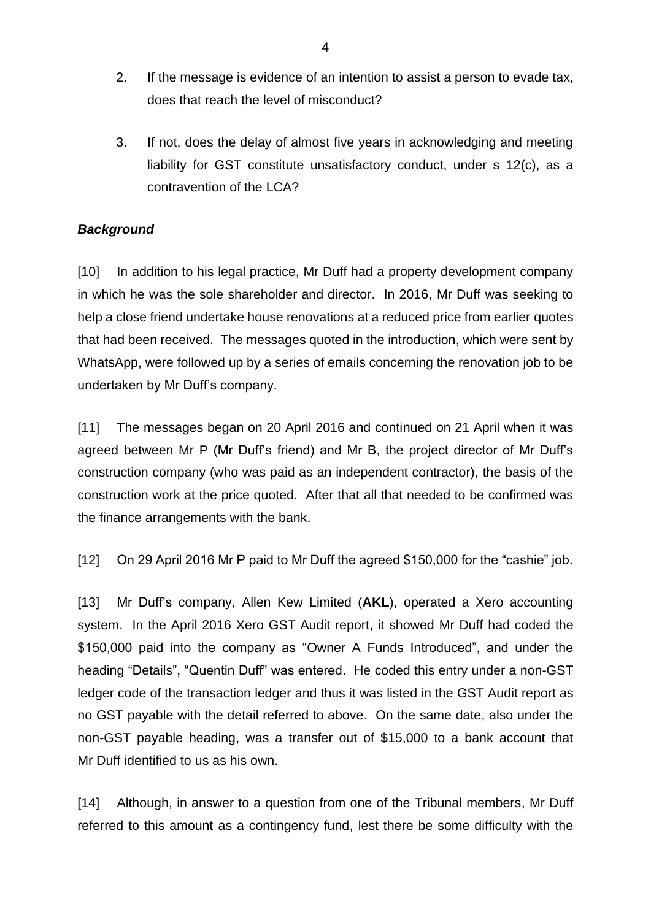- 2. If the message is evidence of an intention to assist a person to evade tax, does that reach the level of misconduct?
- 3. If not, does the delay of almost five years in acknowledging and meeting liability for GST constitute unsatisfactory conduct, under s 12(c), as a contravention of the LCA?

# *Background*

[10] In addition to his legal practice, Mr Duff had a property development company in which he was the sole shareholder and director. In 2016, Mr Duff was seeking to help a close friend undertake house renovations at a reduced price from earlier quotes that had been received. The messages quoted in the introduction, which were sent by WhatsApp, were followed up by a series of emails concerning the renovation job to be undertaken by Mr Duff's company.

[11] The messages began on 20 April 2016 and continued on 21 April when it was agreed between Mr P (Mr Duff's friend) and Mr B, the project director of Mr Duff's construction company (who was paid as an independent contractor), the basis of the construction work at the price quoted. After that all that needed to be confirmed was the finance arrangements with the bank.

[12] On 29 April 2016 Mr P paid to Mr Duff the agreed \$150,000 for the "cashie" job.

[13] Mr Duff's company, Allen Kew Limited (**AKL**), operated a Xero accounting system. In the April 2016 Xero GST Audit report, it showed Mr Duff had coded the \$150,000 paid into the company as "Owner A Funds Introduced", and under the heading "Details", "Quentin Duff" was entered. He coded this entry under a non-GST ledger code of the transaction ledger and thus it was listed in the GST Audit report as no GST payable with the detail referred to above. On the same date, also under the non-GST payable heading, was a transfer out of \$15,000 to a bank account that Mr Duff identified to us as his own.

[14] Although, in answer to a question from one of the Tribunal members, Mr Duff referred to this amount as a contingency fund, lest there be some difficulty with the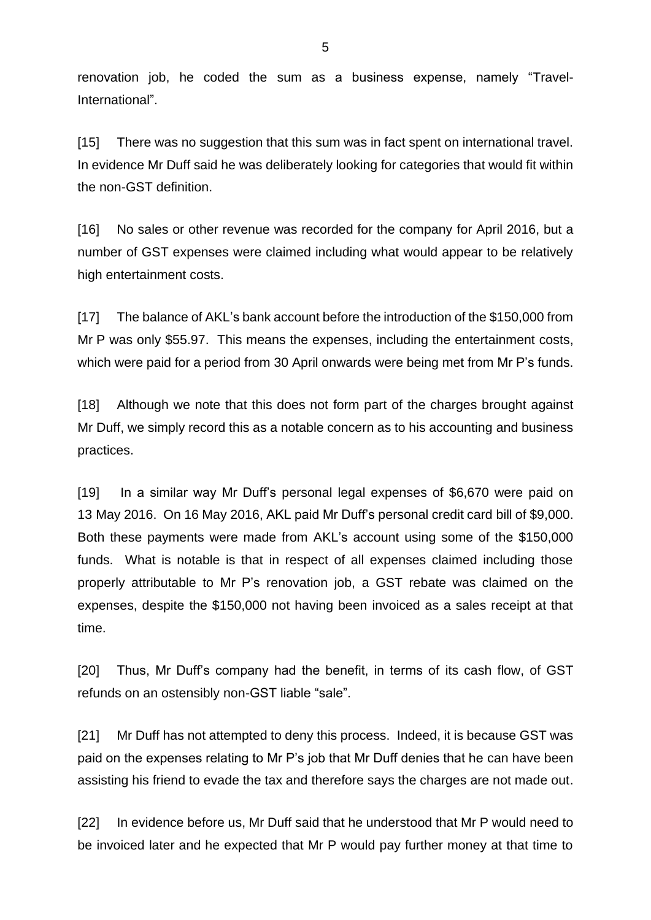renovation job, he coded the sum as a business expense, namely "Travel-International".

[15] There was no suggestion that this sum was in fact spent on international travel. In evidence Mr Duff said he was deliberately looking for categories that would fit within the non-GST definition.

[16] No sales or other revenue was recorded for the company for April 2016, but a number of GST expenses were claimed including what would appear to be relatively high entertainment costs.

[17] The balance of AKL's bank account before the introduction of the \$150,000 from Mr P was only \$55.97. This means the expenses, including the entertainment costs, which were paid for a period from 30 April onwards were being met from Mr P's funds.

[18] Although we note that this does not form part of the charges brought against Mr Duff, we simply record this as a notable concern as to his accounting and business practices.

[19] In a similar way Mr Duff's personal legal expenses of \$6,670 were paid on 13 May 2016. On 16 May 2016, AKL paid Mr Duff's personal credit card bill of \$9,000. Both these payments were made from AKL's account using some of the \$150,000 funds. What is notable is that in respect of all expenses claimed including those properly attributable to Mr P's renovation job, a GST rebate was claimed on the expenses, despite the \$150,000 not having been invoiced as a sales receipt at that time.

[20] Thus, Mr Duff's company had the benefit, in terms of its cash flow, of GST refunds on an ostensibly non-GST liable "sale".

[21] Mr Duff has not attempted to deny this process. Indeed, it is because GST was paid on the expenses relating to Mr P's job that Mr Duff denies that he can have been assisting his friend to evade the tax and therefore says the charges are not made out.

[22] In evidence before us, Mr Duff said that he understood that Mr P would need to be invoiced later and he expected that Mr P would pay further money at that time to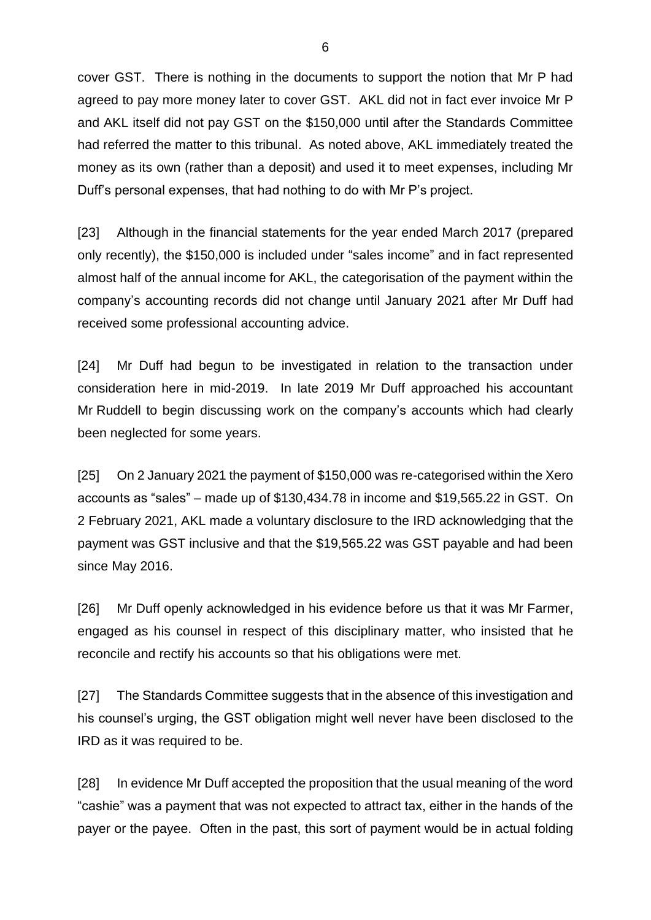cover GST. There is nothing in the documents to support the notion that Mr P had agreed to pay more money later to cover GST. AKL did not in fact ever invoice Mr P and AKL itself did not pay GST on the \$150,000 until after the Standards Committee had referred the matter to this tribunal. As noted above, AKL immediately treated the money as its own (rather than a deposit) and used it to meet expenses, including Mr Duff's personal expenses, that had nothing to do with Mr P's project.

[23] Although in the financial statements for the year ended March 2017 (prepared only recently), the \$150,000 is included under "sales income" and in fact represented almost half of the annual income for AKL, the categorisation of the payment within the company's accounting records did not change until January 2021 after Mr Duff had received some professional accounting advice.

[24] Mr Duff had begun to be investigated in relation to the transaction under consideration here in mid-2019. In late 2019 Mr Duff approached his accountant Mr Ruddell to begin discussing work on the company's accounts which had clearly been neglected for some years.

[25] On 2 January 2021 the payment of \$150,000 was re-categorised within the Xero accounts as "sales" – made up of \$130,434.78 in income and \$19,565.22 in GST. On 2 February 2021, AKL made a voluntary disclosure to the IRD acknowledging that the payment was GST inclusive and that the \$19,565.22 was GST payable and had been since May 2016.

[26] Mr Duff openly acknowledged in his evidence before us that it was Mr Farmer, engaged as his counsel in respect of this disciplinary matter, who insisted that he reconcile and rectify his accounts so that his obligations were met.

[27] The Standards Committee suggests that in the absence of this investigation and his counsel's urging, the GST obligation might well never have been disclosed to the IRD as it was required to be.

[28] In evidence Mr Duff accepted the proposition that the usual meaning of the word "cashie" was a payment that was not expected to attract tax, either in the hands of the payer or the payee. Often in the past, this sort of payment would be in actual folding

6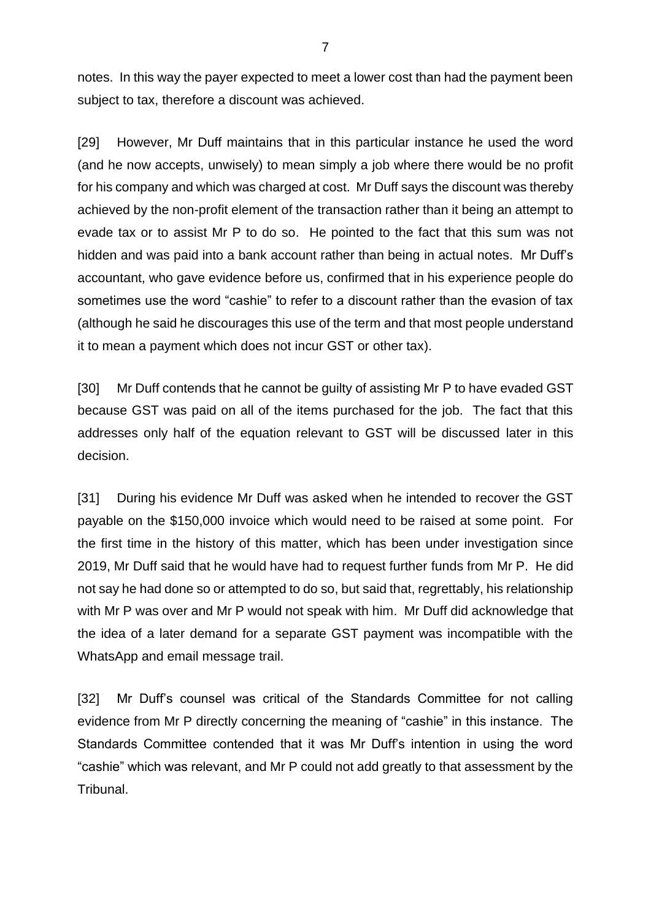notes. In this way the payer expected to meet a lower cost than had the payment been subject to tax, therefore a discount was achieved.

[29] However, Mr Duff maintains that in this particular instance he used the word (and he now accepts, unwisely) to mean simply a job where there would be no profit for his company and which was charged at cost. Mr Duff says the discount was thereby achieved by the non-profit element of the transaction rather than it being an attempt to evade tax or to assist Mr P to do so. He pointed to the fact that this sum was not hidden and was paid into a bank account rather than being in actual notes. Mr Duff's accountant, who gave evidence before us, confirmed that in his experience people do sometimes use the word "cashie" to refer to a discount rather than the evasion of tax (although he said he discourages this use of the term and that most people understand it to mean a payment which does not incur GST or other tax).

[30] Mr Duff contends that he cannot be guilty of assisting Mr P to have evaded GST because GST was paid on all of the items purchased for the job. The fact that this addresses only half of the equation relevant to GST will be discussed later in this decision.

[31] During his evidence Mr Duff was asked when he intended to recover the GST payable on the \$150,000 invoice which would need to be raised at some point. For the first time in the history of this matter, which has been under investigation since 2019, Mr Duff said that he would have had to request further funds from Mr P. He did not say he had done so or attempted to do so, but said that, regrettably, his relationship with Mr P was over and Mr P would not speak with him. Mr Duff did acknowledge that the idea of a later demand for a separate GST payment was incompatible with the WhatsApp and email message trail.

[32] Mr Duff's counsel was critical of the Standards Committee for not calling evidence from Mr P directly concerning the meaning of "cashie" in this instance. The Standards Committee contended that it was Mr Duff's intention in using the word "cashie" which was relevant, and Mr P could not add greatly to that assessment by the Tribunal.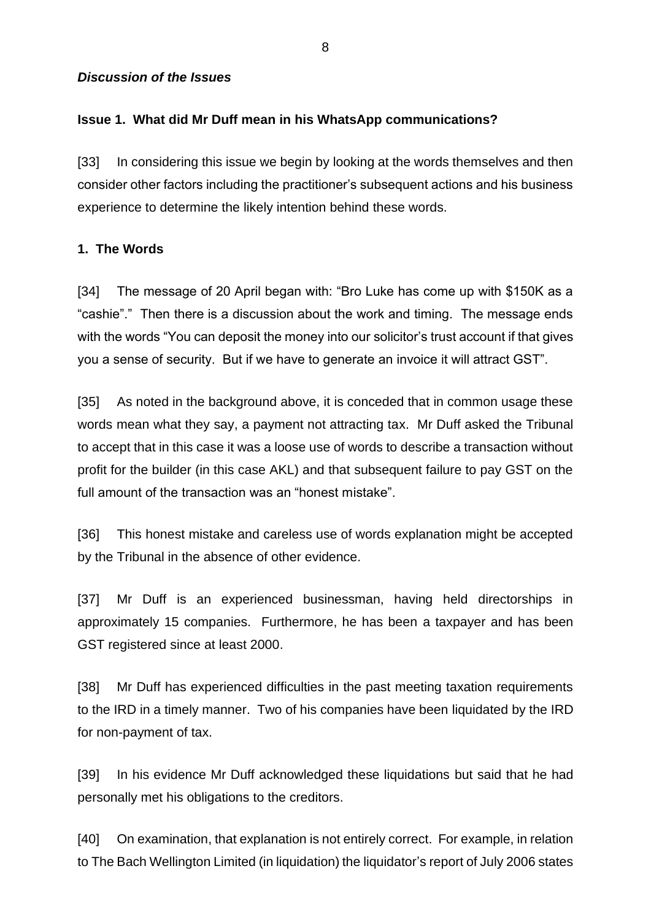#### *Discussion of the Issues*

#### **Issue 1. What did Mr Duff mean in his WhatsApp communications?**

[33] In considering this issue we begin by looking at the words themselves and then consider other factors including the practitioner's subsequent actions and his business experience to determine the likely intention behind these words.

#### **1. The Words**

[34] The message of 20 April began with: "Bro Luke has come up with \$150K as a "cashie"." Then there is a discussion about the work and timing. The message ends with the words "You can deposit the money into our solicitor's trust account if that gives you a sense of security. But if we have to generate an invoice it will attract GST".

[35] As noted in the background above, it is conceded that in common usage these words mean what they say, a payment not attracting tax. Mr Duff asked the Tribunal to accept that in this case it was a loose use of words to describe a transaction without profit for the builder (in this case AKL) and that subsequent failure to pay GST on the full amount of the transaction was an "honest mistake".

[36] This honest mistake and careless use of words explanation might be accepted by the Tribunal in the absence of other evidence.

[37] Mr Duff is an experienced businessman, having held directorships in approximately 15 companies. Furthermore, he has been a taxpayer and has been GST registered since at least 2000.

[38] Mr Duff has experienced difficulties in the past meeting taxation requirements to the IRD in a timely manner. Two of his companies have been liquidated by the IRD for non-payment of tax.

[39] In his evidence Mr Duff acknowledged these liquidations but said that he had personally met his obligations to the creditors.

[40] On examination, that explanation is not entirely correct. For example, in relation to The Bach Wellington Limited (in liquidation) the liquidator's report of July 2006 states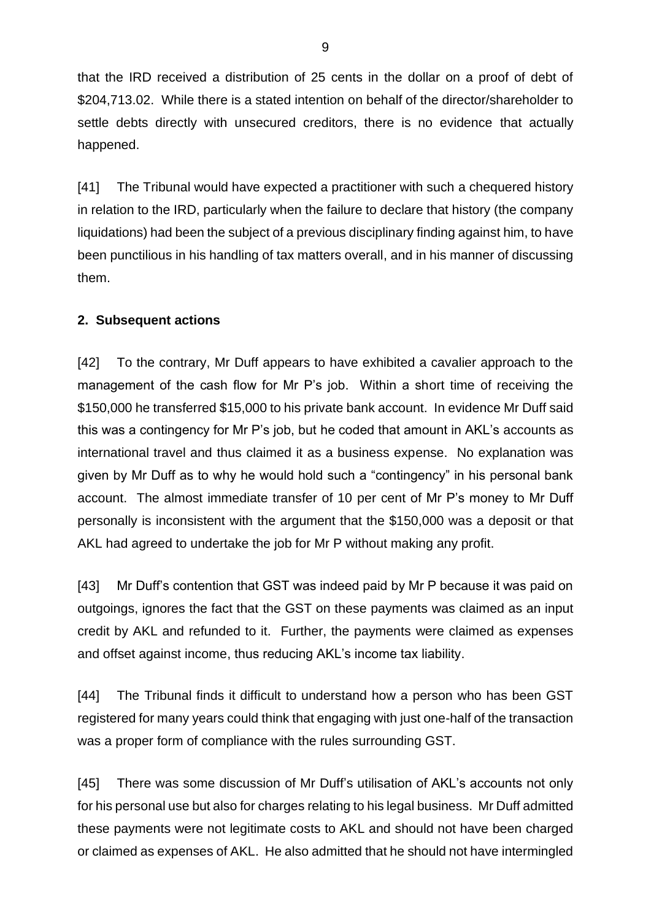that the IRD received a distribution of 25 cents in the dollar on a proof of debt of \$204,713.02. While there is a stated intention on behalf of the director/shareholder to settle debts directly with unsecured creditors, there is no evidence that actually happened.

[41] The Tribunal would have expected a practitioner with such a chequered history in relation to the IRD, particularly when the failure to declare that history (the company liquidations) had been the subject of a previous disciplinary finding against him, to have been punctilious in his handling of tax matters overall, and in his manner of discussing them.

# **2. Subsequent actions**

[42] To the contrary, Mr Duff appears to have exhibited a cavalier approach to the management of the cash flow for Mr P's job. Within a short time of receiving the \$150,000 he transferred \$15,000 to his private bank account. In evidence Mr Duff said this was a contingency for Mr P's job, but he coded that amount in AKL's accounts as international travel and thus claimed it as a business expense. No explanation was given by Mr Duff as to why he would hold such a "contingency" in his personal bank account. The almost immediate transfer of 10 per cent of Mr P's money to Mr Duff personally is inconsistent with the argument that the \$150,000 was a deposit or that AKL had agreed to undertake the job for Mr P without making any profit.

[43] Mr Duff's contention that GST was indeed paid by Mr P because it was paid on outgoings, ignores the fact that the GST on these payments was claimed as an input credit by AKL and refunded to it. Further, the payments were claimed as expenses and offset against income, thus reducing AKL's income tax liability.

[44] The Tribunal finds it difficult to understand how a person who has been GST registered for many years could think that engaging with just one-half of the transaction was a proper form of compliance with the rules surrounding GST.

[45] There was some discussion of Mr Duff's utilisation of AKL's accounts not only for his personal use but also for charges relating to his legal business. Mr Duff admitted these payments were not legitimate costs to AKL and should not have been charged or claimed as expenses of AKL. He also admitted that he should not have intermingled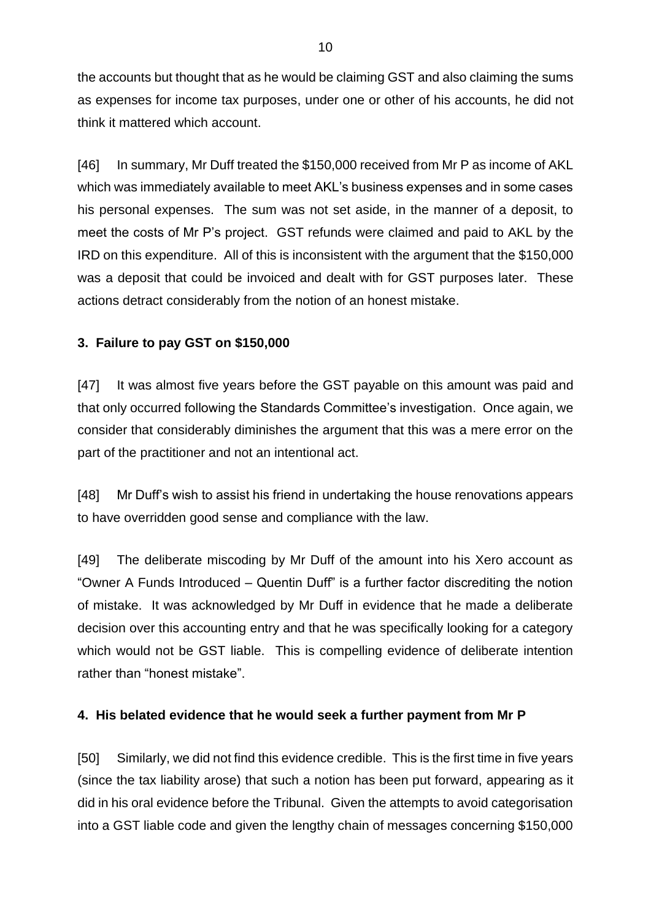the accounts but thought that as he would be claiming GST and also claiming the sums as expenses for income tax purposes, under one or other of his accounts, he did not think it mattered which account.

[46] In summary, Mr Duff treated the \$150,000 received from Mr P as income of AKL which was immediately available to meet AKL's business expenses and in some cases his personal expenses. The sum was not set aside, in the manner of a deposit, to meet the costs of Mr P's project. GST refunds were claimed and paid to AKL by the IRD on this expenditure. All of this is inconsistent with the argument that the \$150,000 was a deposit that could be invoiced and dealt with for GST purposes later. These actions detract considerably from the notion of an honest mistake.

# **3. Failure to pay GST on \$150,000**

[47] It was almost five years before the GST payable on this amount was paid and that only occurred following the Standards Committee's investigation. Once again, we consider that considerably diminishes the argument that this was a mere error on the part of the practitioner and not an intentional act.

[48] Mr Duff's wish to assist his friend in undertaking the house renovations appears to have overridden good sense and compliance with the law.

[49] The deliberate miscoding by Mr Duff of the amount into his Xero account as "Owner A Funds Introduced – Quentin Duff" is a further factor discrediting the notion of mistake. It was acknowledged by Mr Duff in evidence that he made a deliberate decision over this accounting entry and that he was specifically looking for a category which would not be GST liable. This is compelling evidence of deliberate intention rather than "honest mistake".

# **4. His belated evidence that he would seek a further payment from Mr P**

[50] Similarly, we did not find this evidence credible. This is the first time in five years (since the tax liability arose) that such a notion has been put forward, appearing as it did in his oral evidence before the Tribunal. Given the attempts to avoid categorisation into a GST liable code and given the lengthy chain of messages concerning \$150,000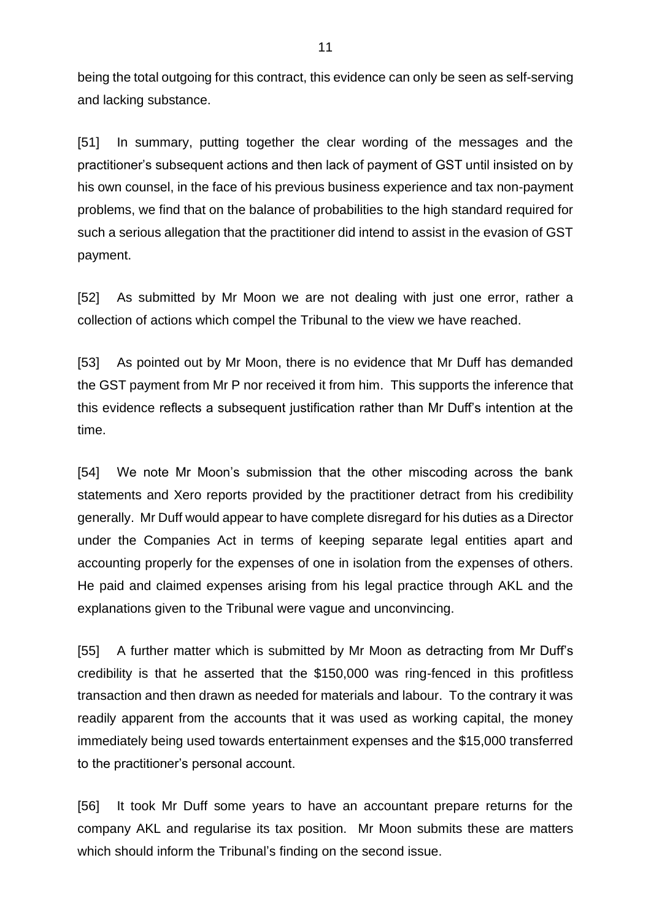being the total outgoing for this contract, this evidence can only be seen as self-serving and lacking substance.

[51] In summary, putting together the clear wording of the messages and the practitioner's subsequent actions and then lack of payment of GST until insisted on by his own counsel, in the face of his previous business experience and tax non-payment problems, we find that on the balance of probabilities to the high standard required for such a serious allegation that the practitioner did intend to assist in the evasion of GST payment.

[52] As submitted by Mr Moon we are not dealing with just one error, rather a collection of actions which compel the Tribunal to the view we have reached.

[53] As pointed out by Mr Moon, there is no evidence that Mr Duff has demanded the GST payment from Mr P nor received it from him. This supports the inference that this evidence reflects a subsequent justification rather than Mr Duff's intention at the time.

[54] We note Mr Moon's submission that the other miscoding across the bank statements and Xero reports provided by the practitioner detract from his credibility generally. Mr Duff would appear to have complete disregard for his duties as a Director under the Companies Act in terms of keeping separate legal entities apart and accounting properly for the expenses of one in isolation from the expenses of others. He paid and claimed expenses arising from his legal practice through AKL and the explanations given to the Tribunal were vague and unconvincing.

[55] A further matter which is submitted by Mr Moon as detracting from Mr Duff's credibility is that he asserted that the \$150,000 was ring-fenced in this profitless transaction and then drawn as needed for materials and labour. To the contrary it was readily apparent from the accounts that it was used as working capital, the money immediately being used towards entertainment expenses and the \$15,000 transferred to the practitioner's personal account.

[56] It took Mr Duff some years to have an accountant prepare returns for the company AKL and regularise its tax position. Mr Moon submits these are matters which should inform the Tribunal's finding on the second issue.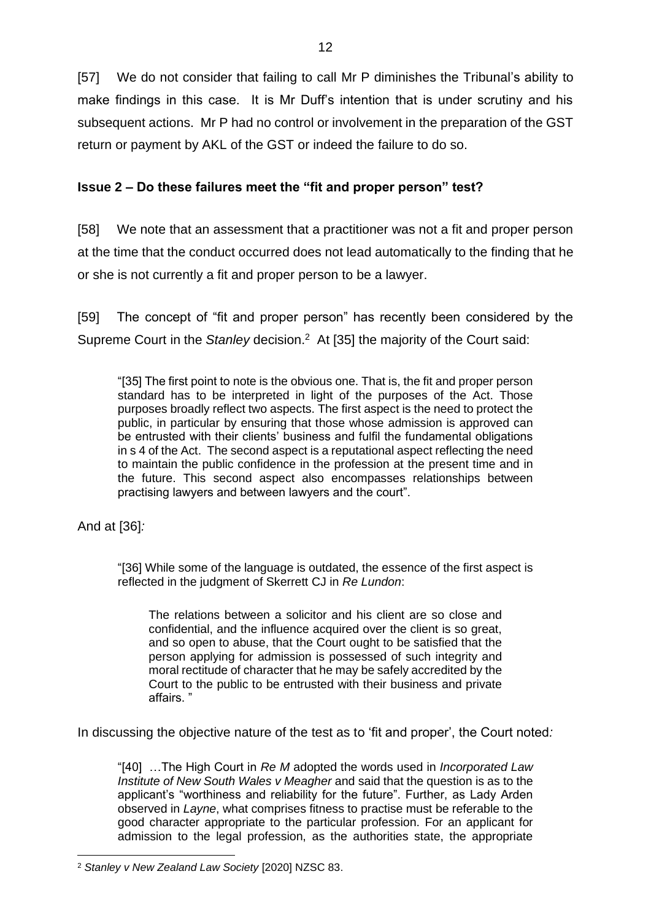[57] We do not consider that failing to call Mr P diminishes the Tribunal's ability to make findings in this case. It is Mr Duff's intention that is under scrutiny and his subsequent actions. Mr P had no control or involvement in the preparation of the GST return or payment by AKL of the GST or indeed the failure to do so.

# **Issue 2 – Do these failures meet the "fit and proper person" test?**

[58] We note that an assessment that a practitioner was not a fit and proper person at the time that the conduct occurred does not lead automatically to the finding that he or she is not currently a fit and proper person to be a lawyer.

[59] The concept of "fit and proper person" has recently been considered by the Supreme Court in the *Stanley* decision.<sup>2</sup> At [35] the majority of the Court said:

"[35] The first point to note is the obvious one. That is, the fit and proper person standard has to be interpreted in light of the purposes of the Act. Those purposes broadly reflect two aspects. The first aspect is the need to protect the public, in particular by ensuring that those whose admission is approved can be entrusted with their clients' business and fulfil the fundamental obligations in s 4 of the Act. The second aspect is a reputational aspect reflecting the need to maintain the public confidence in the profession at the present time and in the future. This second aspect also encompasses relationships between practising lawyers and between lawyers and the court".

And at [36]*:*

"[36] While some of the language is outdated, the essence of the first aspect is reflected in the judgment of Skerrett CJ in *Re Lundon*:

The relations between a solicitor and his client are so close and confidential, and the influence acquired over the client is so great, and so open to abuse, that the Court ought to be satisfied that the person applying for admission is possessed of such integrity and moral rectitude of character that he may be safely accredited by the Court to the public to be entrusted with their business and private affairs. "

In discussing the objective nature of the test as to 'fit and proper', the Court noted*:* 

"[40] …The High Court in *Re M* adopted the words used in *Incorporated Law Institute of New South Wales v Meagher* and said that the question is as to the applicant's "worthiness and reliability for the future". Further, as Lady Arden observed in *Layne*, what comprises fitness to practise must be referable to the good character appropriate to the particular profession. For an applicant for admission to the legal profession, as the authorities state, the appropriate

<sup>2</sup> *Stanley v New Zealand Law Society* [2020] NZSC 83.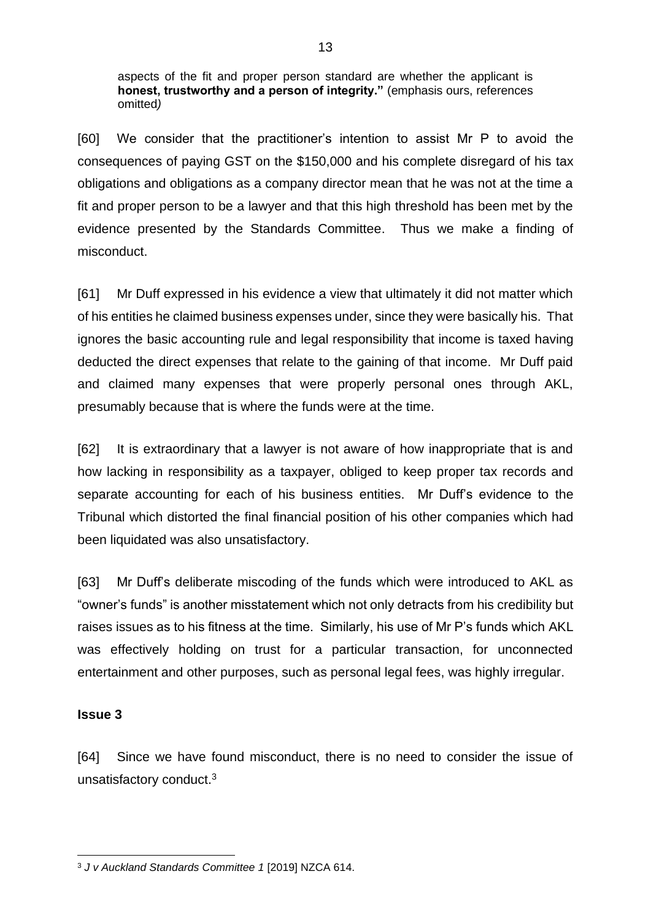aspects of the fit and proper person standard are whether the applicant is **honest, trustworthy and a person of integrity."** (emphasis ours, references omitted*)* 

[60] We consider that the practitioner's intention to assist Mr P to avoid the consequences of paying GST on the \$150,000 and his complete disregard of his tax obligations and obligations as a company director mean that he was not at the time a fit and proper person to be a lawyer and that this high threshold has been met by the evidence presented by the Standards Committee. Thus we make a finding of misconduct.

[61] Mr Duff expressed in his evidence a view that ultimately it did not matter which of his entities he claimed business expenses under, since they were basically his. That ignores the basic accounting rule and legal responsibility that income is taxed having deducted the direct expenses that relate to the gaining of that income. Mr Duff paid and claimed many expenses that were properly personal ones through AKL, presumably because that is where the funds were at the time.

[62] It is extraordinary that a lawyer is not aware of how inappropriate that is and how lacking in responsibility as a taxpayer, obliged to keep proper tax records and separate accounting for each of his business entities. Mr Duff's evidence to the Tribunal which distorted the final financial position of his other companies which had been liquidated was also unsatisfactory.

[63] Mr Duff's deliberate miscoding of the funds which were introduced to AKL as "owner's funds" is another misstatement which not only detracts from his credibility but raises issues as to his fitness at the time. Similarly, his use of Mr P's funds which AKL was effectively holding on trust for a particular transaction, for unconnected entertainment and other purposes, such as personal legal fees, was highly irregular.

#### **Issue 3**

[64] Since we have found misconduct, there is no need to consider the issue of unsatisfactory conduct.<sup>3</sup>

<sup>3</sup> *J v Auckland Standards Committee 1* [2019] NZCA 614.